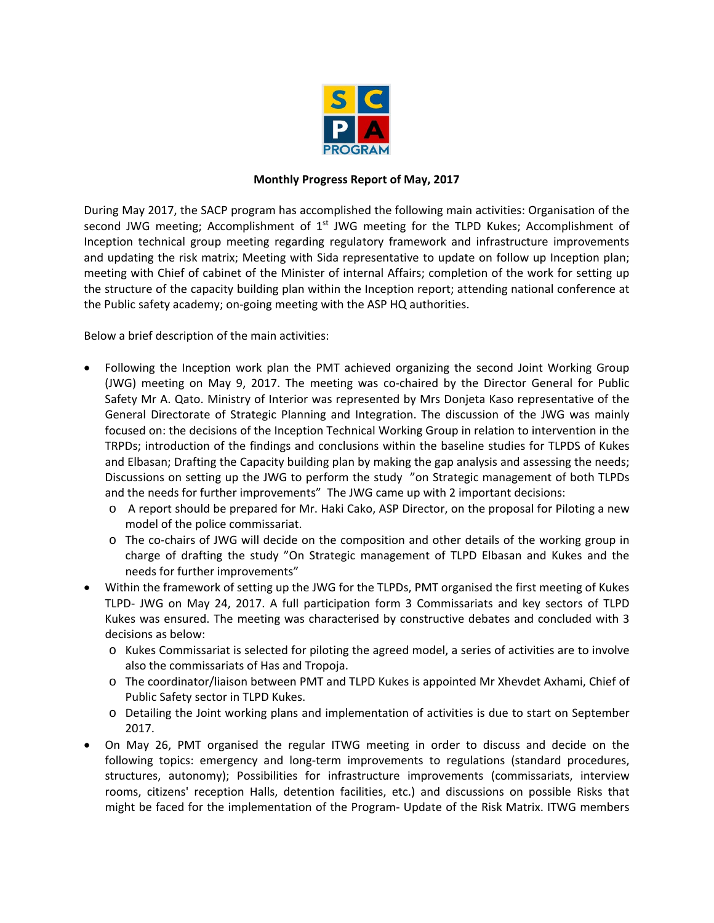

## **Monthly Progress Report of May, 2017**

During May 2017, the SACP program has accomplished the following main activities: Organisation of the second JWG meeting; Accomplishment of  $1<sup>st</sup>$  JWG meeting for the TLPD Kukes; Accomplishment of Inception technical group meeting regarding regulatory framework and infrastructure improvements and updating the risk matrix; Meeting with Sida representative to update on follow up Inception plan; meeting with Chief of cabinet of the Minister of internal Affairs; completion of the work for setting up the structure of the capacity building plan within the Inception report; attending national conference at the Public safety academy; on-going meeting with the ASP HQ authorities.

Below a brief description of the main activities:

- Following the Inception work plan the PMT achieved organizing the second Joint Working Group (JWG) meeting on May 9, 2017. The meeting was co-chaired by the Director General for Public Safety Mr A. Qato. Ministry of Interior was represented by Mrs Donjeta Kaso representative of the General Directorate of Strategic Planning and Integration. The discussion of the JWG was mainly focused on: the decisions of the Inception Technical Working Group in relation to intervention in the TRPDs; introduction of the findings and conclusions within the baseline studies for TLPDS of Kukes and Elbasan; Drafting the Capacity building plan by making the gap analysis and assessing the needs; Discussions on setting up the JWG to perform the study "on Strategic management of both TLPDs and the needs for further improvements" The JWG came up with 2 important decisions:
	- o A report should be prepared for Mr. Haki Cako, ASP Director, on the proposal for Piloting a new model of the police commissariat.
	- o The co-chairs of JWG will decide on the composition and other details of the working group in charge of drafting the study "On Strategic management of TLPD Elbasan and Kukes and the needs for further improvements"
- Within the framework of setting up the JWG for the TLPDs, PMT organised the first meeting of Kukes TLPD- JWG on May 24, 2017. A full participation form 3 Commissariats and key sectors of TLPD Kukes was ensured. The meeting was characterised by constructive debates and concluded with 3 decisions as below:
	- o Kukes Commissariat is selected for piloting the agreed model, a series of activities are to involve also the commissariats of Has and Tropoja.
	- o The coordinator/liaison between PMT and TLPD Kukes is appointed Mr Xhevdet Axhami, Chief of Public Safety sector in TLPD Kukes.
	- o Detailing the Joint working plans and implementation of activities is due to start on September 2017.
- On May 26, PMT organised the regular ITWG meeting in order to discuss and decide on the following topics: emergency and long-term improvements to regulations (standard procedures, structures, autonomy); Possibilities for infrastructure improvements (commissariats, interview rooms, citizens' reception Halls, detention facilities, etc.) and discussions on possible Risks that might be faced for the implementation of the Program- Update of the Risk Matrix. ITWG members